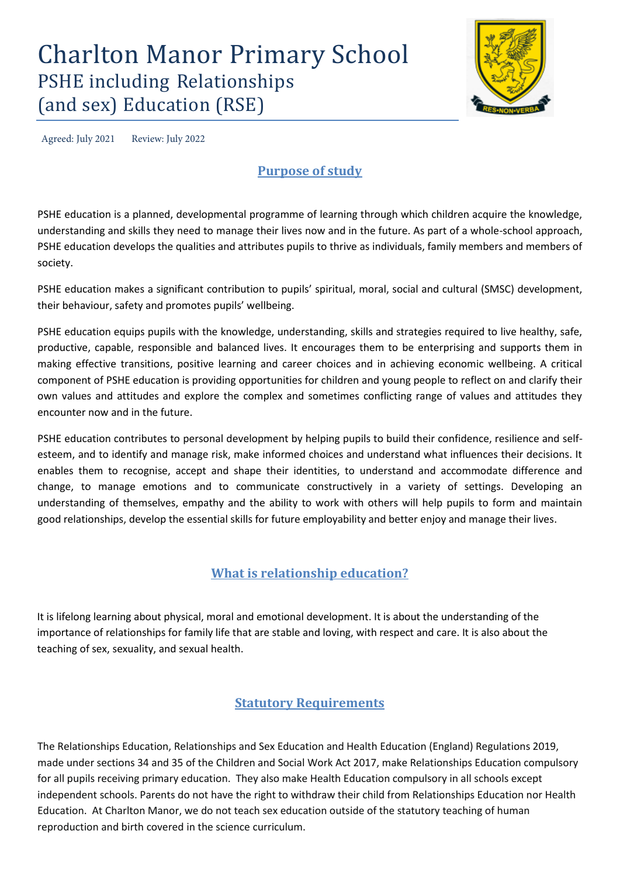# Charlton Manor Primary School PSHE including Relationships (and sex) Education (RSE)



Agreed: July 2021 Review: July 2022

# **Purpose of study**

PSHE education is a planned, developmental programme of learning through which children acquire the knowledge, understanding and skills they need to manage their lives now and in the future. As part of a whole-school approach, PSHE education develops the qualities and attributes pupils to thrive as individuals, family members and members of society.

PSHE education makes a significant contribution to pupils' spiritual, moral, social and cultural (SMSC) development, their behaviour, safety and promotes pupils' wellbeing.

PSHE education equips pupils with the knowledge, understanding, skills and strategies required to live healthy, safe, productive, capable, responsible and balanced lives. It encourages them to be enterprising and supports them in making effective transitions, positive learning and career choices and in achieving economic wellbeing. A critical component of PSHE education is providing opportunities for children and young people to reflect on and clarify their own values and attitudes and explore the complex and sometimes conflicting range of values and attitudes they encounter now and in the future.

PSHE education contributes to personal development by helping pupils to build their confidence, resilience and selfesteem, and to identify and manage risk, make informed choices and understand what influences their decisions. It enables them to recognise, accept and shape their identities, to understand and accommodate difference and change, to manage emotions and to communicate constructively in a variety of settings. Developing an understanding of themselves, empathy and the ability to work with others will help pupils to form and maintain good relationships, develop the essential skills for future employability and better enjoy and manage their lives.

# **What is relationship education?**

It is lifelong learning about physical, moral and emotional development. It is about the understanding of the importance of relationships for family life that are stable and loving, with respect and care. It is also about the teaching of sex, sexuality, and sexual health.

# **Statutory Requirements**

The Relationships Education, Relationships and Sex Education and Health Education (England) Regulations 2019, made under sections 34 and 35 of the Children and Social Work Act 2017, make Relationships Education compulsory for all pupils receiving primary education. They also make Health Education compulsory in all schools except independent schools. Parents do not have the right to withdraw their child from Relationships Education nor Health Education. At Charlton Manor, we do not teach sex education outside of the statutory teaching of human reproduction and birth covered in the science curriculum.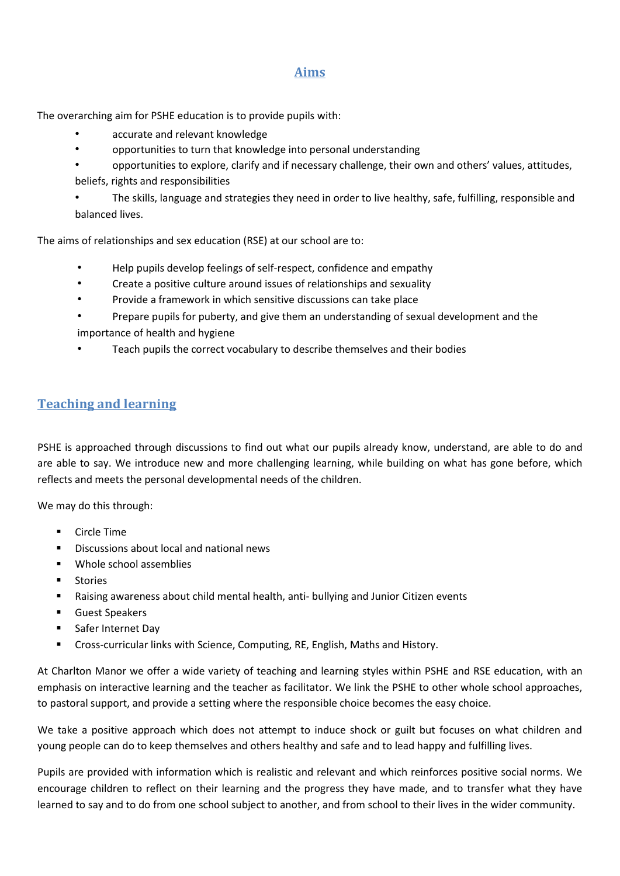#### **Aims**

The overarching aim for PSHE education is to provide pupils with:

- accurate and relevant knowledge
- opportunities to turn that knowledge into personal understanding
- opportunities to explore, clarify and if necessary challenge, their own and others' values, attitudes,
- beliefs, rights and responsibilities

• The skills, language and strategies they need in order to live healthy, safe, fulfilling, responsible and balanced lives.

The aims of relationships and sex education (RSE) at our school are to:

- Help pupils develop feelings of self-respect, confidence and empathy
- Create a positive culture around issues of relationships and sexuality
- Provide a framework in which sensitive discussions can take place
- Prepare pupils for puberty, and give them an understanding of sexual development and the importance of health and hygiene
- Teach pupils the correct vocabulary to describe themselves and their bodies

### **Teaching and learning**

PSHE is approached through discussions to find out what our pupils already know, understand, are able to do and are able to say. We introduce new and more challenging learning, while building on what has gone before, which reflects and meets the personal developmental needs of the children.

We may do this through:

- **Circle Time**
- **Discussions about local and national news**
- Whole school assemblies
- **E** Stories
- Raising awareness about child mental health, anti- bullying and Junior Citizen events
- **Guest Speakers**
- **Safer Internet Day**
- Cross-curricular links with Science, Computing, RE, English, Maths and History.

At Charlton Manor we offer a wide variety of teaching and learning styles within PSHE and RSE education, with an emphasis on interactive learning and the teacher as facilitator. We link the PSHE to other whole school approaches, to pastoral support, and provide a setting where the responsible choice becomes the easy choice.

We take a positive approach which does not attempt to induce shock or guilt but focuses on what children and young people can do to keep themselves and others healthy and safe and to lead happy and fulfilling lives.

Pupils are provided with information which is realistic and relevant and which reinforces positive social norms. We encourage children to reflect on their learning and the progress they have made, and to transfer what they have learned to say and to do from one school subject to another, and from school to their lives in the wider community.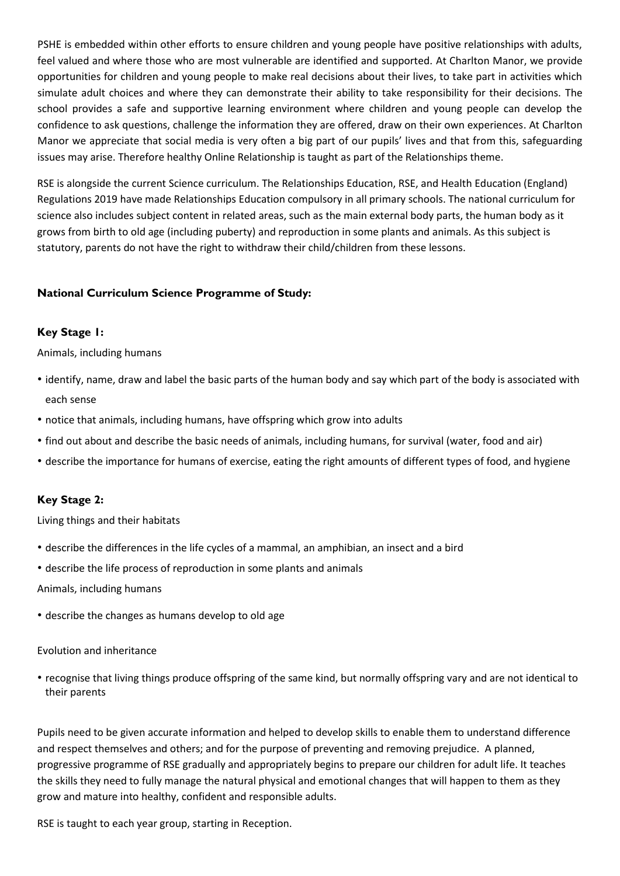PSHE is embedded within other efforts to ensure children and young people have positive relationships with adults, feel valued and where those who are most vulnerable are identified and supported. At Charlton Manor, we provide opportunities for children and young people to make real decisions about their lives, to take part in activities which simulate adult choices and where they can demonstrate their ability to take responsibility for their decisions. The school provides a safe and supportive learning environment where children and young people can develop the confidence to ask questions, challenge the information they are offered, draw on their own experiences. At Charlton Manor we appreciate that social media is very often a big part of our pupils' lives and that from this, safeguarding issues may arise. Therefore healthy Online Relationship is taught as part of the Relationships theme.

RSE is alongside the current Science curriculum. The Relationships Education, RSE, and Health Education (England) Regulations 2019 have made Relationships Education compulsory in all primary schools. The national curriculum for science also includes subject content in related areas, such as the main external body parts, the human body as it grows from birth to old age (including puberty) and reproduction in some plants and animals. As this subject is statutory, parents do not have the right to withdraw their child/children from these lessons.

#### **National Curriculum Science Programme of Study:**

#### **Key Stage 1:**

Animals, including humans

- identify, name, draw and label the basic parts of the human body and say which part of the body is associated with each sense
- notice that animals, including humans, have offspring which grow into adults
- find out about and describe the basic needs of animals, including humans, for survival (water, food and air)
- describe the importance for humans of exercise, eating the right amounts of different types of food, and hygiene

#### **Key Stage 2:**

Living things and their habitats

- describe the differences in the life cycles of a mammal, an amphibian, an insect and a bird
- describe the life process of reproduction in some plants and animals

Animals, including humans

• describe the changes as humans develop to old age

#### Evolution and inheritance

• recognise that living things produce offspring of the same kind, but normally offspring vary and are not identical to their parents

Pupils need to be given accurate information and helped to develop skills to enable them to understand difference and respect themselves and others; and for the purpose of preventing and removing prejudice. A planned, progressive programme of RSE gradually and appropriately begins to prepare our children for adult life. It teaches the skills they need to fully manage the natural physical and emotional changes that will happen to them as they grow and mature into healthy, confident and responsible adults.

RSE is taught to each year group, starting in Reception.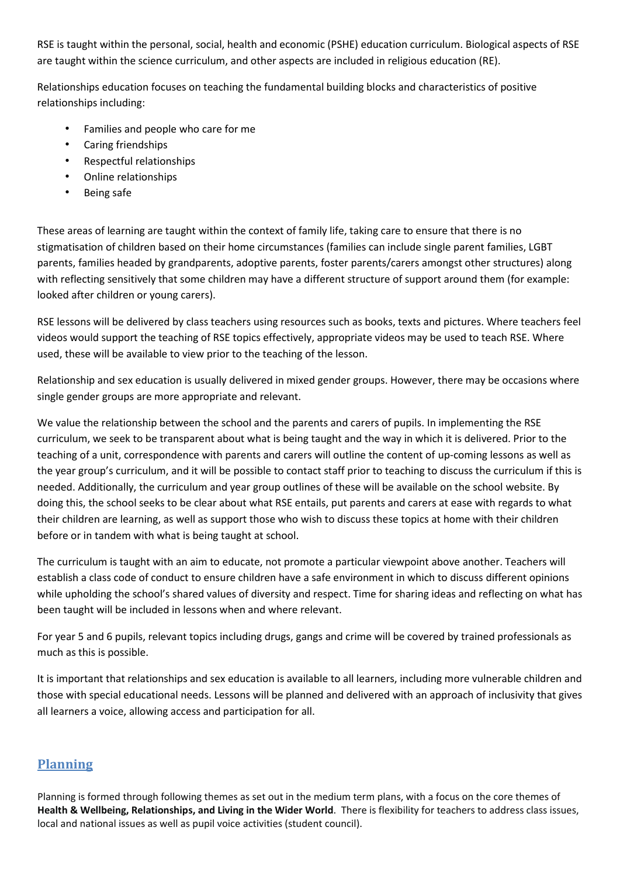RSE is taught within the personal, social, health and economic (PSHE) education curriculum. Biological aspects of RSE are taught within the science curriculum, and other aspects are included in religious education (RE).

Relationships education focuses on teaching the fundamental building blocks and characteristics of positive relationships including:

- Families and people who care for me
- Caring friendships
- Respectful relationships
- Online relationships
- Being safe

These areas of learning are taught within the context of family life, taking care to ensure that there is no stigmatisation of children based on their home circumstances (families can include single parent families, LGBT parents, families headed by grandparents, adoptive parents, foster parents/carers amongst other structures) along with reflecting sensitively that some children may have a different structure of support around them (for example: looked after children or young carers).

RSE lessons will be delivered by class teachers using resources such as books, texts and pictures. Where teachers feel videos would support the teaching of RSE topics effectively, appropriate videos may be used to teach RSE. Where used, these will be available to view prior to the teaching of the lesson.

Relationship and sex education is usually delivered in mixed gender groups. However, there may be occasions where single gender groups are more appropriate and relevant.

We value the relationship between the school and the parents and carers of pupils. In implementing the RSE curriculum, we seek to be transparent about what is being taught and the way in which it is delivered. Prior to the teaching of a unit, correspondence with parents and carers will outline the content of up-coming lessons as well as the year group's curriculum, and it will be possible to contact staff prior to teaching to discuss the curriculum if this is needed. Additionally, the curriculum and year group outlines of these will be available on the school website. By doing this, the school seeks to be clear about what RSE entails, put parents and carers at ease with regards to what their children are learning, as well as support those who wish to discuss these topics at home with their children before or in tandem with what is being taught at school.

The curriculum is taught with an aim to educate, not promote a particular viewpoint above another. Teachers will establish a class code of conduct to ensure children have a safe environment in which to discuss different opinions while upholding the school's shared values of diversity and respect. Time for sharing ideas and reflecting on what has been taught will be included in lessons when and where relevant.

For year 5 and 6 pupils, relevant topics including drugs, gangs and crime will be covered by trained professionals as much as this is possible.

It is important that relationships and sex education is available to all learners, including more vulnerable children and those with special educational needs. Lessons will be planned and delivered with an approach of inclusivity that gives all learners a voice, allowing access and participation for all.

# **Planning**

Planning is formed through following themes as set out in the medium term plans, with a focus on the core themes of **Health & Wellbeing, Relationships, and Living in the Wider World**. There is flexibility for teachers to address class issues, local and national issues as well as pupil voice activities (student council).